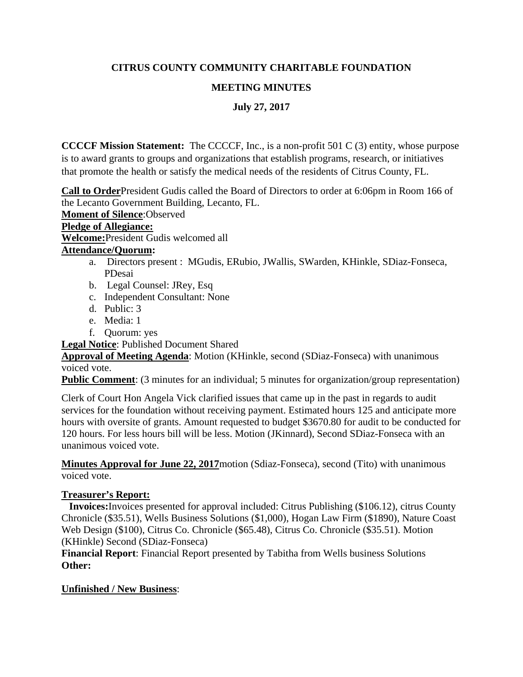## **CITRUS COUNTY COMMUNITY CHARITABLE FOUNDATION**

## **MEETING MINUTES**

**July 27, 2017**

**CCCCF Mission Statement:** The CCCCF, Inc., is a non-profit 501 C (3) entity, whose purpose is to award grants to groups and organizations that establish programs, research, or initiatives that promote the health or satisfy the medical needs of the residents of Citrus County, FL.

**Call to Order**President Gudis called the Board of Directors to order at 6:06pm in Room 166 of the Lecanto Government Building, Lecanto, FL.

**Moment of Silence**:Observed

**Pledge of Allegiance:** 

**Welcome:**President Gudis welcomed all

#### **Attendance/Quorum:**

- a. Directors present : MGudis, ERubio, JWallis, SWarden, KHinkle, SDiaz-Fonseca, PDesai
- b. Legal Counsel: JRey, Esq
- c. Independent Consultant: None
- d. Public: 3
- e. Media: 1
- f. Quorum: yes

**Legal Notice**: Published Document Shared

**Approval of Meeting Agenda**: Motion (KHinkle, second (SDiaz-Fonseca) with unanimous voiced vote.

**Public Comment**: (3 minutes for an individual; 5 minutes for organization/group representation)

Clerk of Court Hon Angela Vick clarified issues that came up in the past in regards to audit services for the foundation without receiving payment. Estimated hours 125 and anticipate more hours with oversite of grants. Amount requested to budget \$3670.80 for audit to be conducted for 120 hours. For less hours bill will be less. Motion (JKinnard), Second SDiaz-Fonseca with an unanimous voiced vote.

**Minutes Approval for June 22, 2017**motion (Sdiaz-Fonseca), second (Tito) with unanimous voiced vote.

## **Treasurer's Report:**

 **Invoices:**Invoices presented for approval included: Citrus Publishing (\$106.12), citrus County Chronicle (\$35.51), Wells Business Solutions (\$1,000), Hogan Law Firm (\$1890), Nature Coast Web Design (\$100), Citrus Co. Chronicle (\$65.48), Citrus Co. Chronicle (\$35.51). Motion (KHinkle) Second (SDiaz-Fonseca)

**Financial Report**: Financial Report presented by Tabitha from Wells business Solutions **Other:**

## **Unfinished / New Business**: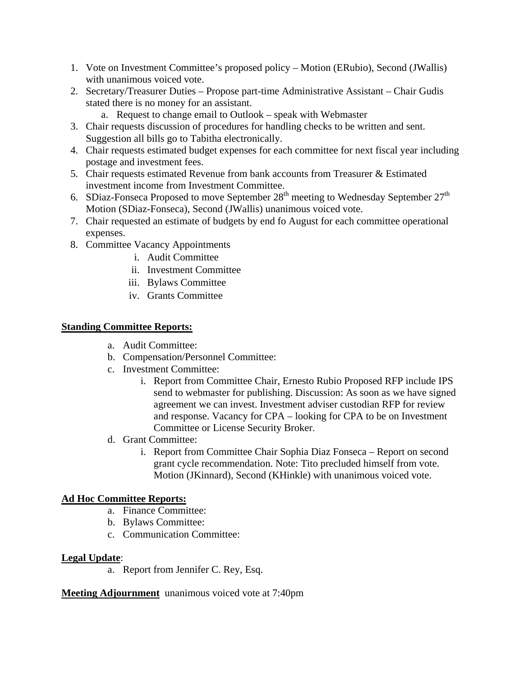- 1. Vote on Investment Committee's proposed policy Motion (ERubio), Second (JWallis) with unanimous voiced vote.
- 2. Secretary/Treasurer Duties Propose part-time Administrative Assistant Chair Gudis stated there is no money for an assistant.
	- a. Request to change email to Outlook speak with Webmaster
- 3. Chair requests discussion of procedures for handling checks to be written and sent. Suggestion all bills go to Tabitha electronically.
- 4. Chair requests estimated budget expenses for each committee for next fiscal year including postage and investment fees.
- 5. Chair requests estimated Revenue from bank accounts from Treasurer & Estimated investment income from Investment Committee.
- 6. SDiaz-Fonseca Proposed to move September  $28<sup>th</sup>$  meeting to Wednesday September  $27<sup>th</sup>$ Motion (SDiaz-Fonseca), Second (JWallis) unanimous voiced vote.
- 7. Chair requested an estimate of budgets by end fo August for each committee operational expenses.
- 8. Committee Vacancy Appointments
	- i. Audit Committee
	- ii. Investment Committee
	- iii. Bylaws Committee
	- iv. Grants Committee

## **Standing Committee Reports:**

- a. Audit Committee:
- b. Compensation/Personnel Committee:
- c. Investment Committee:
	- i. Report from Committee Chair, Ernesto Rubio Proposed RFP include IPS send to webmaster for publishing. Discussion: As soon as we have signed agreement we can invest. Investment adviser custodian RFP for review and response. Vacancy for CPA – looking for CPA to be on Investment Committee or License Security Broker.
- d. Grant Committee:
	- i. Report from Committee Chair Sophia Diaz Fonseca Report on second grant cycle recommendation. Note: Tito precluded himself from vote. Motion (JKinnard), Second (KHinkle) with unanimous voiced vote.

## **Ad Hoc Committee Reports:**

- a. Finance Committee:
- b. Bylaws Committee:
- c. Communication Committee:

## **Legal Update**:

a. Report from Jennifer C. Rey, Esq.

**Meeting Adjournment** unanimous voiced vote at 7:40pm